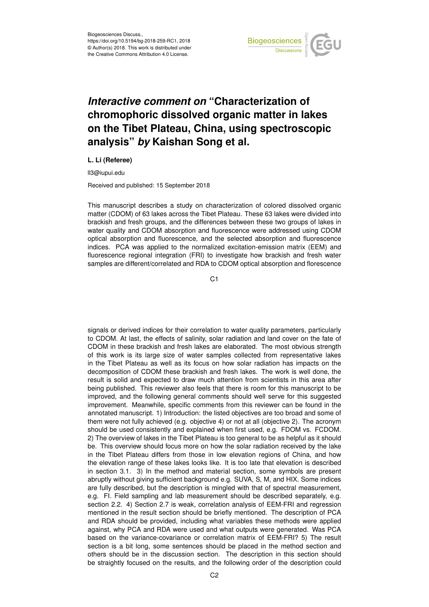

## *Interactive comment on* **"Characterization of chromophoric dissolved organic matter in lakes on the Tibet Plateau, China, using spectroscopic analysis"** *by* **Kaishan Song et al.**

## **L. Li (Referee)**

ll3@iupui.edu

Received and published: 15 September 2018

This manuscript describes a study on characterization of colored dissolved organic matter (CDOM) of 63 lakes across the Tibet Plateau. These 63 lakes were divided into brackish and fresh groups, and the differences between these two groups of lakes in water quality and CDOM absorption and fluorescence were addressed using CDOM optical absorption and fluorescence, and the selected absorption and fluorescence indices. PCA was applied to the normalized excitation-emission matrix (EEM) and fluorescence regional integration (FRI) to investigate how brackish and fresh water samples are different/correlated and RDA to CDOM optical absorption and florescence

 $C<sub>1</sub>$ 

signals or derived indices for their correlation to water quality parameters, particularly to CDOM. At last, the effects of salinity, solar radiation and land cover on the fate of CDOM in these brackish and fresh lakes are elaborated. The most obvious strength of this work is its large size of water samples collected from representative lakes in the Tibet Plateau as well as its focus on how solar radiation has impacts on the decomposition of CDOM these brackish and fresh lakes. The work is well done, the result is solid and expected to draw much attention from scientists in this area after being published. This reviewer also feels that there is room for this manuscript to be improved, and the following general comments should well serve for this suggested improvement. Meanwhile, specific comments from this reviewer can be found in the annotated manuscript. 1) Introduction: the listed objectives are too broad and some of them were not fully achieved (e.g. objective 4) or not at all (objective 2). The acronym should be used consistently and explained when first used, e.g. FDOM vs. FCDOM. 2) The overview of lakes in the Tibet Plateau is too general to be as helpful as it should be. This overview should focus more on how the solar radiation received by the lake in the Tibet Plateau differs from those in low elevation regions of China, and how the elevation range of these lakes looks like. It is too late that elevation is described in section 3.1. 3) In the method and material section, some symbols are present abruptly without giving sufficient background e.g. SUVA, S, M, and HIX. Some indices are fully described, but the description is mingled with that of spectral measurement, e.g. FI. Field sampling and lab measurement should be described separately, e.g. section 2.2. 4) Section 2.7 is weak, correlation analysis of EEM-FRI and regression mentioned in the result section should be briefly mentioned. The description of PCA and RDA should be provided, including what variables these methods were applied against, why PCA and RDA were used and what outputs were generated. Was PCA based on the variance-covariance or correlation matrix of EEM-FRI? 5) The result section is a bit long, some sentences should be placed in the method section and others should be in the discussion section. The description in this section should be straightly focused on the results, and the following order of the description could